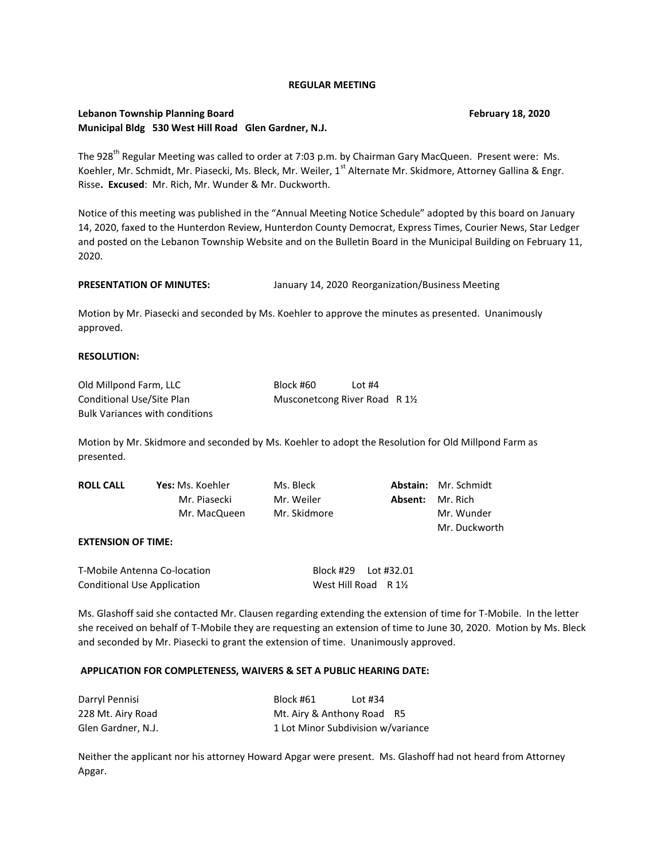### **REGULAR MEETING**

# **Lebanon Township Planning Board February 18, 2020 Municipal Bldg 530 West Hill Road Glen Gardner, N.J.**

The 928<sup>th</sup> Regular Meeting was called to order at 7:03 p.m. by Chairman Gary MacQueen. Present were: Ms. Koehler, Mr. Schmidt, Mr. Piasecki, Ms. Bleck, Mr. Weiler, 1<sup>st</sup> Alternate Mr. Skidmore, Attorney Gallina & Engr. Risse**. Excused**: Mr. Rich, Mr. Wunder & Mr. Duckworth.

Notice of this meeting was published in the "Annual Meeting Notice Schedule" adopted by this board on January 14, 2020, faxed to the Hunterdon Review, Hunterdon County Democrat, Express Times, Courier News, Star Ledger and posted on the Lebanon Township Website and on the Bulletin Board in the Municipal Building on February 11, 2020.

# **PRESENTATION OF MINUTES:** January 14, 2020 Reorganization/Business Meeting

Motion by Mr. Piasecki and seconded by Ms. Koehler to approve the minutes as presented. Unanimously approved.

### **RESOLUTION:**

| Old Millpond Farm, LLC                | Block #60                      | Lot $#4$ |  |
|---------------------------------------|--------------------------------|----------|--|
| Conditional Use/Site Plan             | Musconetcong River Road R 11/2 |          |  |
| <b>Bulk Variances with conditions</b> |                                |          |  |

Motion by Mr. Skidmore and seconded by Ms. Koehler to adopt the Resolution for Old Millpond Farm as presented.

| <b>ROLL CALL</b> | <b>Yes:</b> Ms. Koehler | Ms. Bleck    |         | <b>Abstain:</b> Mr. Schmidt |
|------------------|-------------------------|--------------|---------|-----------------------------|
|                  | Mr. Piasecki            | Mr. Weiler   | Absent: | Mr. Rich                    |
|                  | Mr. MacQueen            | Mr. Skidmore |         | Mr. Wunder                  |
|                  |                         |              |         | Mr. Duckworth               |

## **EXTENSION OF TIME:**

| T-Mobile Antenna Co-location       | Block #29    Lot #32.01         |  |
|------------------------------------|---------------------------------|--|
| <b>Conditional Use Application</b> | West Hill Road $R_1\frac{1}{2}$ |  |

Ms. Glashoff said she contacted Mr. Clausen regarding extending the extension of time for T-Mobile. In the letter she received on behalf of T-Mobile they are requesting an extension of time to June 30, 2020. Motion by Ms. Bleck and seconded by Mr. Piasecki to grant the extension of time. Unanimously approved.

### **APPLICATION FOR COMPLETENESS, WAIVERS & SET A PUBLIC HEARING DATE:**

| Darryl Pennisi     | Block #61                  | Lot #34                            |
|--------------------|----------------------------|------------------------------------|
| 228 Mt. Airy Road  | Mt. Airy & Anthony Road R5 |                                    |
| Glen Gardner, N.J. |                            | 1 Lot Minor Subdivision w/variance |

Neither the applicant nor his attorney Howard Apgar were present. Ms. Glashoff had not heard from Attorney Apgar.